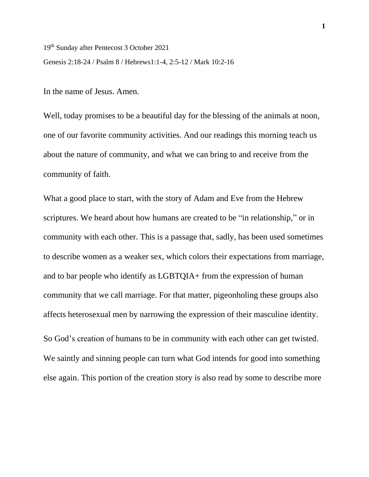19th Sunday after Pentecost 3 October 2021

Genesis 2:18-24 / Psalm 8 / Hebrews1:1-4, 2:5-12 / Mark 10:2-16

In the name of Jesus. Amen.

Well, today promises to be a beautiful day for the blessing of the animals at noon, one of our favorite community activities. And our readings this morning teach us about the nature of community, and what we can bring to and receive from the community of faith.

What a good place to start, with the story of Adam and Eve from the Hebrew scriptures. We heard about how humans are created to be "in relationship," or in community with each other. This is a passage that, sadly, has been used sometimes to describe women as a weaker sex, which colors their expectations from marriage, and to bar people who identify as LGBTQIA+ from the expression of human community that we call marriage. For that matter, pigeonholing these groups also affects heterosexual men by narrowing the expression of their masculine identity.

So God's creation of humans to be in community with each other can get twisted. We saintly and sinning people can turn what God intends for good into something else again. This portion of the creation story is also read by some to describe more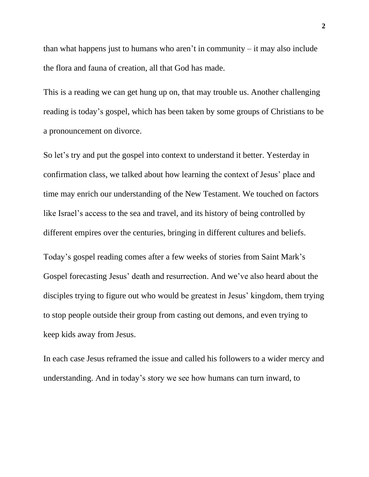than what happens just to humans who aren't in community  $-$  it may also include the flora and fauna of creation, all that God has made.

This is a reading we can get hung up on, that may trouble us. Another challenging reading is today's gospel, which has been taken by some groups of Christians to be a pronouncement on divorce.

So let's try and put the gospel into context to understand it better. Yesterday in confirmation class, we talked about how learning the context of Jesus' place and time may enrich our understanding of the New Testament. We touched on factors like Israel's access to the sea and travel, and its history of being controlled by different empires over the centuries, bringing in different cultures and beliefs.

Today's gospel reading comes after a few weeks of stories from Saint Mark's Gospel forecasting Jesus' death and resurrection. And we've also heard about the disciples trying to figure out who would be greatest in Jesus' kingdom, them trying to stop people outside their group from casting out demons, and even trying to keep kids away from Jesus.

In each case Jesus reframed the issue and called his followers to a wider mercy and understanding. And in today's story we see how humans can turn inward, to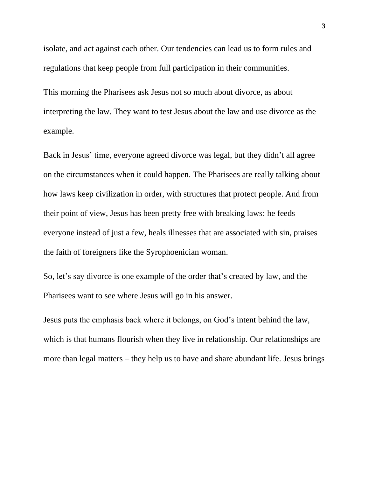isolate, and act against each other. Our tendencies can lead us to form rules and regulations that keep people from full participation in their communities.

This morning the Pharisees ask Jesus not so much about divorce, as about interpreting the law. They want to test Jesus about the law and use divorce as the example.

Back in Jesus' time, everyone agreed divorce was legal, but they didn't all agree on the circumstances when it could happen. The Pharisees are really talking about how laws keep civilization in order, with structures that protect people. And from their point of view, Jesus has been pretty free with breaking laws: he feeds everyone instead of just a few, heals illnesses that are associated with sin, praises the faith of foreigners like the Syrophoenician woman.

So, let's say divorce is one example of the order that's created by law, and the Pharisees want to see where Jesus will go in his answer.

Jesus puts the emphasis back where it belongs, on God's intent behind the law, which is that humans flourish when they live in relationship. Our relationships are more than legal matters – they help us to have and share abundant life. Jesus brings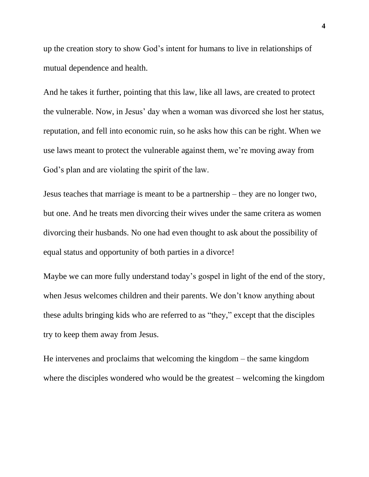up the creation story to show God's intent for humans to live in relationships of mutual dependence and health.

And he takes it further, pointing that this law, like all laws, are created to protect the vulnerable. Now, in Jesus' day when a woman was divorced she lost her status, reputation, and fell into economic ruin, so he asks how this can be right. When we use laws meant to protect the vulnerable against them, we're moving away from God's plan and are violating the spirit of the law.

Jesus teaches that marriage is meant to be a partnership – they are no longer two, but one. And he treats men divorcing their wives under the same critera as women divorcing their husbands. No one had even thought to ask about the possibility of equal status and opportunity of both parties in a divorce!

Maybe we can more fully understand today's gospel in light of the end of the story, when Jesus welcomes children and their parents. We don't know anything about these adults bringing kids who are referred to as "they," except that the disciples try to keep them away from Jesus.

He intervenes and proclaims that welcoming the kingdom – the same kingdom where the disciples wondered who would be the greatest – welcoming the kingdom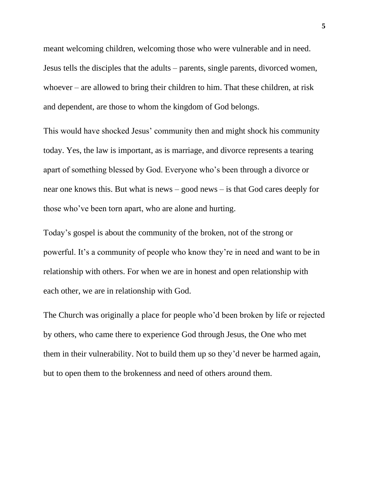meant welcoming children, welcoming those who were vulnerable and in need. Jesus tells the disciples that the adults – parents, single parents, divorced women, whoever – are allowed to bring their children to him. That these children, at risk and dependent, are those to whom the kingdom of God belongs.

This would have shocked Jesus' community then and might shock his community today. Yes, the law is important, as is marriage, and divorce represents a tearing apart of something blessed by God. Everyone who's been through a divorce or near one knows this. But what is news – good news – is that God cares deeply for those who've been torn apart, who are alone and hurting.

Today's gospel is about the community of the broken, not of the strong or powerful. It's a community of people who know they're in need and want to be in relationship with others. For when we are in honest and open relationship with each other, we are in relationship with God.

The Church was originally a place for people who'd been broken by life or rejected by others, who came there to experience God through Jesus, the One who met them in their vulnerability. Not to build them up so they'd never be harmed again, but to open them to the brokenness and need of others around them.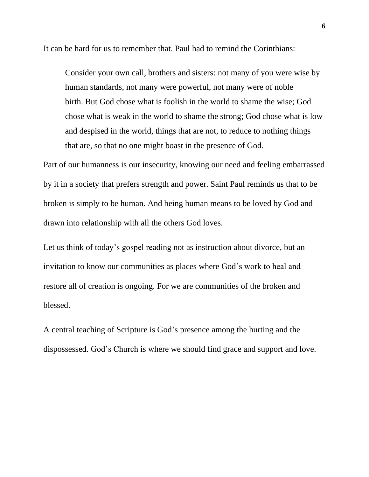It can be hard for us to remember that. Paul had to remind the Corinthians:

Consider your own call, brothers and sisters: not many of you were wise by human standards, not many were powerful, not many were of noble birth. But God chose what is foolish in the world to shame the wise; God chose what is weak in the world to shame the strong; God chose what is low and despised in the world, things that are not, to reduce to nothing things that are, so that no one might boast in the presence of God.

Part of our humanness is our insecurity, knowing our need and feeling embarrassed by it in a society that prefers strength and power. Saint Paul reminds us that to be broken is simply to be human. And being human means to be loved by God and drawn into relationship with all the others God loves.

Let us think of today's gospel reading not as instruction about divorce, but an invitation to know our communities as places where God's work to heal and restore all of creation is ongoing. For we are communities of the broken and blessed.

A central teaching of Scripture is God's presence among the hurting and the dispossessed. God's Church is where we should find grace and support and love.